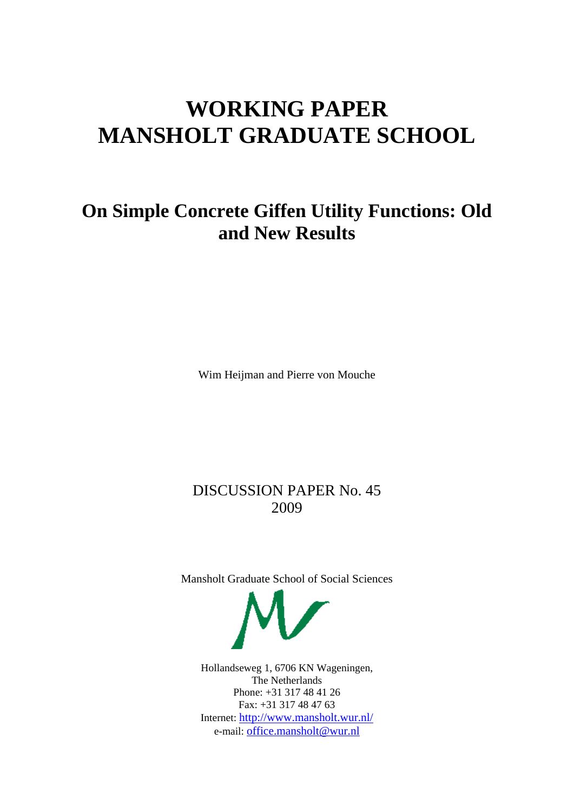# **WORKING PAPER MANSHOLT GRADUATE SCHOOL**

## **On Simple Concrete Giffen Utility Functions: Old and New Results**

Wim Heijman and Pierre von Mouche

### DISCUSSION PAPER No. 45 2009

Mansholt Graduate School of Social Sciences



Hollandseweg 1, 6706 KN Wageningen, The Netherlands Phone: +31 317 48 41 26 Fax: +31 317 48 47 63 Internet:<http://www.mansholt.wur.nl/> e-mail: [office.mansholt@wur.nl](mailto:office.mansholt@wur.nl)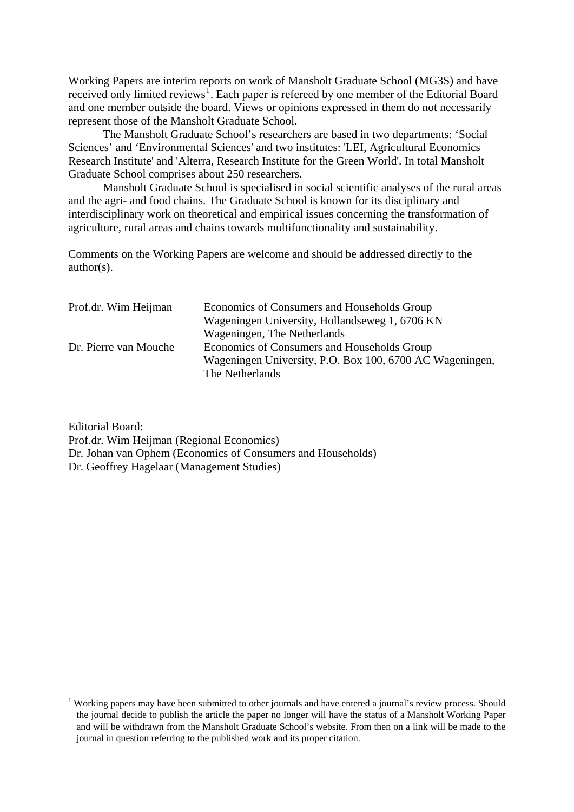Working Papers are interim reports on work of Mansholt Graduate School (MG3S) and have received only limited reviews<sup>[1](#page-1-0)</sup>. Each paper is refereed by one member of the Editorial Board and one member outside the board. Views or opinions expressed in them do not necessarily represent those of the Mansholt Graduate School.

The Mansholt Graduate School's researchers are based in two departments: 'Social Sciences' and 'Environmental Sciences' and two institutes: 'LEI, Agricultural Economics Research Institute' and 'Alterra, Research Institute for the Green World'. In total Mansholt Graduate School comprises about 250 researchers.

Mansholt Graduate School is specialised in social scientific analyses of the rural areas and the agri- and food chains. The Graduate School is known for its disciplinary and interdisciplinary work on theoretical and empirical issues concerning the transformation of agriculture, rural areas and chains towards multifunctionality and sustainability.

Comments on the Working Papers are welcome and should be addressed directly to the author(s).

| Prof.dr. Wim Heijman  | Economics of Consumers and Households Group              |
|-----------------------|----------------------------------------------------------|
|                       | Wageningen University, Hollandseweg 1, 6706 KN           |
|                       | Wageningen, The Netherlands                              |
| Dr. Pierre van Mouche | Economics of Consumers and Households Group              |
|                       | Wageningen University, P.O. Box 100, 6700 AC Wageningen, |
|                       | The Netherlands                                          |

Editorial Board: Prof.dr. Wim Heijman (Regional Economics) Dr. Johan van Ophem (Economics of Consumers and Households) Dr. Geoffrey Hagelaar (Management Studies)

1

<span id="page-1-0"></span><sup>&</sup>lt;sup>1</sup> Working papers may have been submitted to other journals and have entered a journal's review process. Should the journal decide to publish the article the paper no longer will have the status of a Mansholt Working Paper and will be withdrawn from the Mansholt Graduate School's website. From then on a link will be made to the journal in question referring to the published work and its proper citation.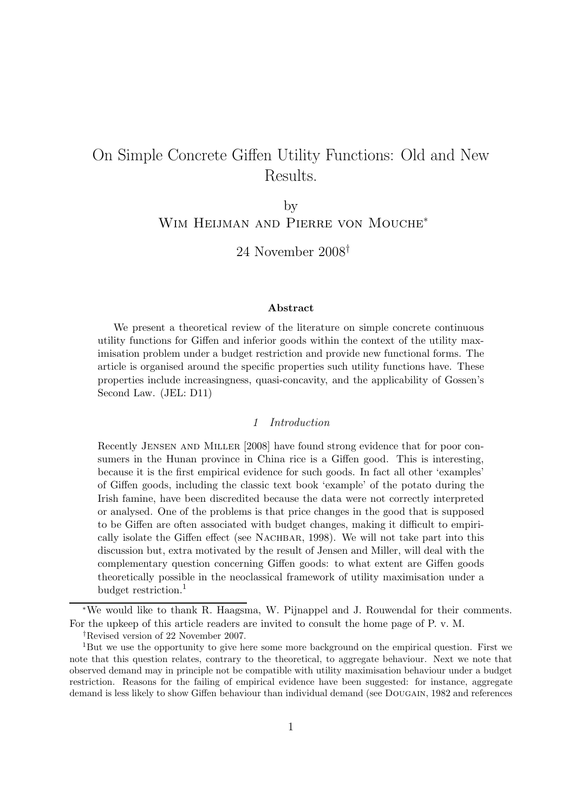## On Simple Concrete Giffen Utility Functions: Old and New Results.

by WIM HEIJMAN AND PIERRE VON MOUCHE<sup>\*</sup>

24 November 2008†

#### Abstract

We present a theoretical review of the literature on simple concrete continuous utility functions for Giffen and inferior goods within the context of the utility maximisation problem under a budget restriction and provide new functional forms. The article is organised around the specific properties such utility functions have. These properties include increasingness, quasi-concavity, and the applicability of Gossen's Second Law. (JEL: D11)

#### 1 Introduction

Recently Jensen and Miller [2008] have found strong evidence that for poor consumers in the Hunan province in China rice is a Giffen good. This is interesting, because it is the first empirical evidence for such goods. In fact all other 'examples' of Giffen goods, including the classic text book 'example' of the potato during the Irish famine, have been discredited because the data were not correctly interpreted or analysed. One of the problems is that price changes in the good that is supposed to be Giffen are often associated with budget changes, making it difficult to empirically isolate the Giffen effect (see NACHBAR, 1998). We will not take part into this discussion but, extra motivated by the result of Jensen and Miller, will deal with the complementary question concerning Giffen goods: to what extent are Giffen goods theoretically possible in the neoclassical framework of utility maximisation under a budget restriction.<sup>1</sup>

<sup>∗</sup>We would like to thank R. Haagsma, W. Pijnappel and J. Rouwendal for their comments. For the upkeep of this article readers are invited to consult the home page of P. v. M.

<sup>†</sup>Revised version of 22 November 2007.

<sup>&</sup>lt;sup>1</sup>But we use the opportunity to give here some more background on the empirical question. First we note that this question relates, contrary to the theoretical, to aggregate behaviour. Next we note that observed demand may in principle not be compatible with utility maximisation behaviour under a budget restriction. Reasons for the failing of empirical evidence have been suggested: for instance, aggregate demand is less likely to show Giffen behaviour than individual demand (see DOUGAIN, 1982 and references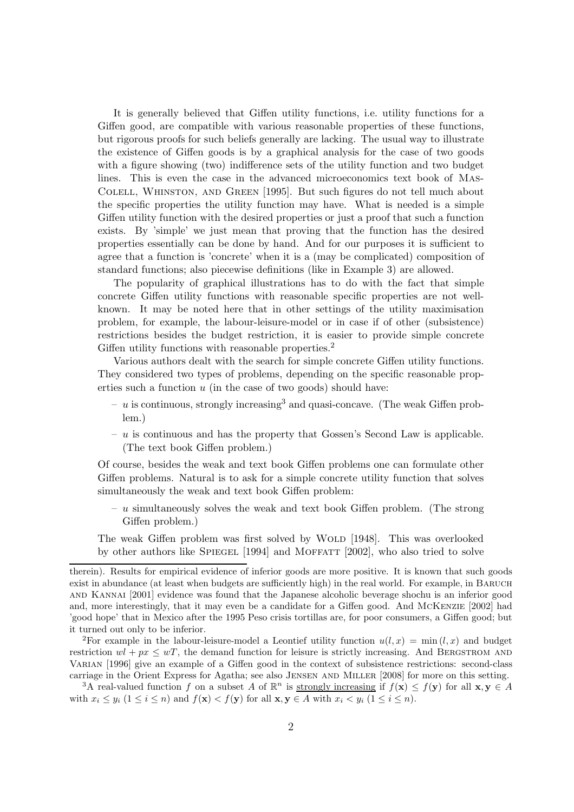It is generally believed that Giffen utility functions, i.e. utility functions for a Giffen good, are compatible with various reasonable properties of these functions, but rigorous proofs for such beliefs generally are lacking. The usual way to illustrate the existence of Giffen goods is by a graphical analysis for the case of two goods with a figure showing (two) indifference sets of the utility function and two budget lines. This is even the case in the advanced microeconomics text book of Mas-Colell, Whinston, and Green [1995]. But such figures do not tell much about the specific properties the utility function may have. What is needed is a simple Giffen utility function with the desired properties or just a proof that such a function exists. By 'simple' we just mean that proving that the function has the desired properties essentially can be done by hand. And for our purposes it is sufficient to agree that a function is 'concrete' when it is a (may be complicated) composition of standard functions; also piecewise definitions (like in Example 3) are allowed.

The popularity of graphical illustrations has to do with the fact that simple concrete Giffen utility functions with reasonable specific properties are not wellknown. It may be noted here that in other settings of the utility maximisation problem, for example, the labour-leisure-model or in case if of other (subsistence) restrictions besides the budget restriction, it is easier to provide simple concrete Giffen utility functions with reasonable properties.<sup>2</sup>

Various authors dealt with the search for simple concrete Giffen utility functions. They considered two types of problems, depending on the specific reasonable properties such a function  $u$  (in the case of two goods) should have:

- $-$  u is continuous, strongly increasing<sup>3</sup> and quasi-concave. (The weak Giffen problem.)
- $u$  is continuous and has the property that Gossen's Second Law is applicable. (The text book Giffen problem.)

Of course, besides the weak and text book Giffen problems one can formulate other Giffen problems. Natural is to ask for a simple concrete utility function that solves simultaneously the weak and text book Giffen problem:

 $- u$  simultaneously solves the weak and text book Giffen problem. (The strong Giffen problem.)

The weak Giffen problem was first solved by WOLD [1948]. This was overlooked by other authors like Spiegel [1994] and Moffatt [2002], who also tried to solve

<sup>2</sup>For example in the labour-leisure-model a Leontief utility function  $u(l, x) = \min(l, x)$  and budget restriction  $wl + px \leq wT$ , the demand function for leisure is strictly increasing. And BERGSTROM AND Varian [1996] give an example of a Giffen good in the context of subsistence restrictions: second-class carriage in the Orient Express for Agatha; see also Jensen and Miller [2008] for more on this setting.

<sup>3</sup>A real-valued function f on a subset A of  $\mathbb{R}^n$  is <u>strongly increasing</u> if  $f(\mathbf{x}) \leq f(\mathbf{y})$  for all  $\mathbf{x}, \mathbf{y} \in A$ with  $x_i \leq y_i$   $(1 \leq i \leq n)$  and  $f(\mathbf{x}) < f(\mathbf{y})$  for all  $\mathbf{x}, \mathbf{y} \in A$  with  $x_i < y_i$   $(1 \leq i \leq n)$ .

therein). Results for empirical evidence of inferior goods are more positive. It is known that such goods exist in abundance (at least when budgets are sufficiently high) in the real world. For example, in Baruch and Kannai [2001] evidence was found that the Japanese alcoholic beverage shochu is an inferior good and, more interestingly, that it may even be a candidate for a Giffen good. And McKenzie [2002] had 'good hope' that in Mexico after the 1995 Peso crisis tortillas are, for poor consumers, a Giffen good; but it turned out only to be inferior.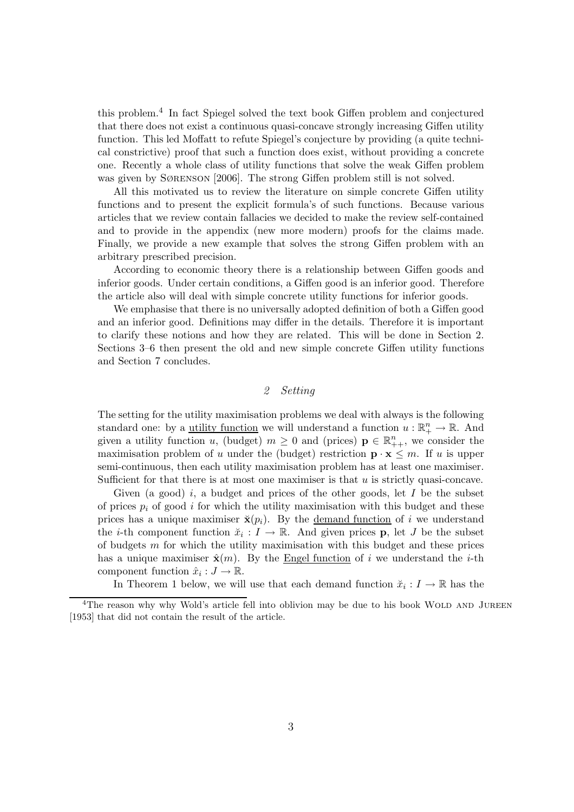this problem.<sup>4</sup> In fact Spiegel solved the text book Giffen problem and conjectured that there does not exist a continuous quasi-concave strongly increasing Giffen utility function. This led Moffatt to refute Spiegel's conjecture by providing (a quite technical constrictive) proof that such a function does exist, without providing a concrete one. Recently a whole class of utility functions that solve the weak Giffen problem was given by Sørenson [2006]. The strong Giffen problem still is not solved.

All this motivated us to review the literature on simple concrete Giffen utility functions and to present the explicit formula's of such functions. Because various articles that we review contain fallacies we decided to make the review self-contained and to provide in the appendix (new more modern) proofs for the claims made. Finally, we provide a new example that solves the strong Giffen problem with an arbitrary prescribed precision.

According to economic theory there is a relationship between Giffen goods and inferior goods. Under certain conditions, a Giffen good is an inferior good. Therefore the article also will deal with simple concrete utility functions for inferior goods.

We emphasise that there is no universally adopted definition of both a Giffen good and an inferior good. Definitions may differ in the details. Therefore it is important to clarify these notions and how they are related. This will be done in Section 2. Sections 3–6 then present the old and new simple concrete Giffen utility functions and Section 7 concludes.

#### 2 Setting

The setting for the utility maximisation problems we deal with always is the following standard one: by a <u>utility function</u> we will understand a function  $u : \mathbb{R}^n_+ \to \mathbb{R}$ . And given a utility function u, (budget)  $m \geq 0$  and (prices)  $p \in \mathbb{R}_{++}^n$ , we consider the maximisation problem of u under the (budget) restriction  $\mathbf{p} \cdot \mathbf{x} \leq m$ . If u is upper semi-continuous, then each utility maximisation problem has at least one maximiser. Sufficient for that there is at most one maximiser is that  $u$  is strictly quasi-concave.

Given (a good) i, a budget and prices of the other goods, let  $I$  be the subset of prices  $p_i$  of good i for which the utility maximisation with this budget and these prices has a unique maximiser  $\breve{\mathbf{x}}(p_i)$ . By the <u>demand function</u> of i we understand the *i*-th component function  $\ddot{x}_i : I \to \mathbb{R}$ . And given prices **p**, let *J* be the subset of budgets m for which the utility maximisation with this budget and these prices has a unique maximiser  $\hat{\mathbf{x}}(m)$ . By the Engel function of i we understand the i-th component function  $\hat{x}_i : J \to \mathbb{R}$ .

In Theorem 1 below, we will use that each demand function  $\tilde{x}_i: I \to \mathbb{R}$  has the

<sup>&</sup>lt;sup>4</sup>The reason why why Wold's article fell into oblivion may be due to his book WOLD AND JUREEN [1953] that did not contain the result of the article.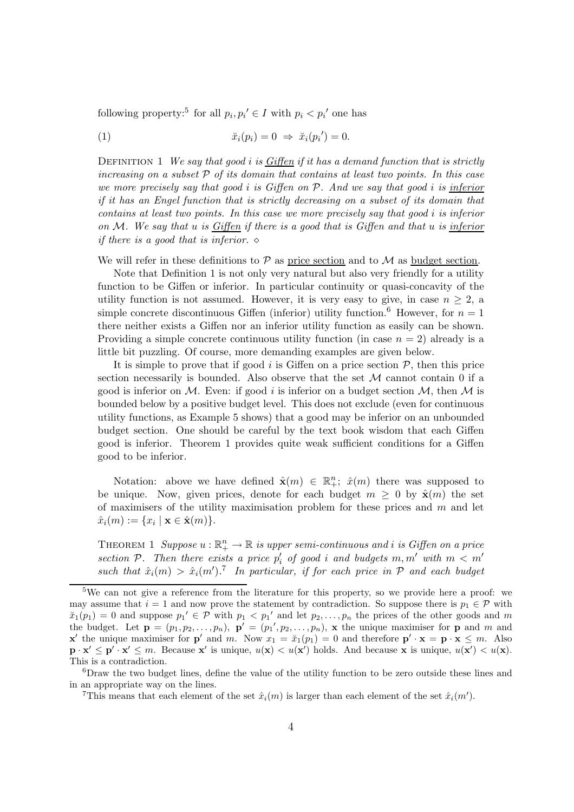following property:<sup>5</sup> for all  $p_i, p_i' \in I$  with  $p_i < p_i'$  one has

$$
\tilde{x}_i(p_i) = 0 \Rightarrow \tilde{x}_i(p_i') = 0.
$$

DEFINITION 1 We say that good i is Giffen if it has a demand function that is strictly increasing on a subset  $\mathcal P$  of its domain that contains at least two points. In this case we more precisely say that good  $i$  is Giffen on  $P$ . And we say that good  $i$  is inferior if it has an Engel function that is strictly decreasing on a subset of its domain that contains at least two points. In this case we more precisely say that good i is inferior on  $M$ . We say that u is Giffen if there is a good that is Giffen and that u is inferior if there is a good that is inferior.  $\diamond$ 

We will refer in these definitions to  $P$  as price section and to  $M$  as budget section.

Note that Definition 1 is not only very natural but also very friendly for a utility function to be Giffen or inferior. In particular continuity or quasi-concavity of the utility function is not assumed. However, it is very easy to give, in case  $n \geq 2$ , a simple concrete discontinuous Giffen (inferior) utility function.<sup>6</sup> However, for  $n = 1$ there neither exists a Giffen nor an inferior utility function as easily can be shown. Providing a simple concrete continuous utility function (in case  $n = 2$ ) already is a little bit puzzling. Of course, more demanding examples are given below.

It is simple to prove that if good i is Giffen on a price section  $P$ , then this price section necessarily is bounded. Also observe that the set  $\mathcal M$  cannot contain 0 if a good is inferior on M. Even: if good i is inferior on a budget section  $M$ , then M is bounded below by a positive budget level. This does not exclude (even for continuous utility functions, as Example 5 shows) that a good may be inferior on an unbounded budget section. One should be careful by the text book wisdom that each Giffen good is inferior. Theorem 1 provides quite weak sufficient conditions for a Giffen good to be inferior.

Notation: above we have defined  $\hat{\mathbf{x}}(m) \in \mathbb{R}^n_+$ ;  $\hat{x}(m)$  there was supposed to be unique. Now, given prices, denote for each budget  $m \geq 0$  by  $\hat{\mathbf{x}}(m)$  the set of maximisers of the utility maximisation problem for these prices and  $m$  and let  $\hat{x}_i(m) := \{x_i \mid \mathbf{x} \in \hat{\mathbf{x}}(m)\}.$ 

THEOREM 1 Suppose  $u : \mathbb{R}^n_+ \to \mathbb{R}$  is upper semi-continuous and i is Giffen on a price section P. Then there exists a price  $p'_i$  of good i and budgets  $m, m'$  with  $m < m'$ such that  $\hat{x}_i(m) > \hat{x}_i(m')$ .<sup>7</sup> In particular, if for each price in  $P$  and each budget

<sup>&</sup>lt;sup>5</sup>We can not give a reference from the literature for this property, so we provide here a proof: we may assume that  $i = 1$  and now prove the statement by contradiction. So suppose there is  $p_1 \in \mathcal{P}$  with  $\tilde{x}_1(p_1) = 0$  and suppose  $p_1' \in \mathcal{P}$  with  $p_1 < p_1'$  and let  $p_2, \ldots, p_n$  the prices of the other goods and m the budget. Let  $\mathbf{p} = (p_1, p_2, \ldots, p_n)$ ,  $\mathbf{p}' = (p_1', p_2, \ldots, p_n)$ , x the unique maximiser for p and m and **x'** the unique maximiser for **p'** and m. Now  $x_1 = \tilde{x}_1(p_1) = 0$  and therefore  $\mathbf{p}' \cdot \mathbf{x} = \mathbf{p} \cdot \mathbf{x} \leq m$ . Also  $\mathbf{p} \cdot \mathbf{x}' \leq \mathbf{p}' \cdot \mathbf{x}' \leq m$ . Because  $\mathbf{x}'$  is unique,  $u(\mathbf{x}) < u(\mathbf{x}')$  holds. And because  $\mathbf{x}$  is unique,  $u(\mathbf{x}') < u(\mathbf{x})$ . This is a contradiction.

<sup>6</sup>Draw the two budget lines, define the value of the utility function to be zero outside these lines and in an appropriate way on the lines.

<sup>&</sup>lt;sup>7</sup>This means that each element of the set  $\hat{x}_i(m)$  is larger than each element of the set  $\hat{x}_i(m')$ .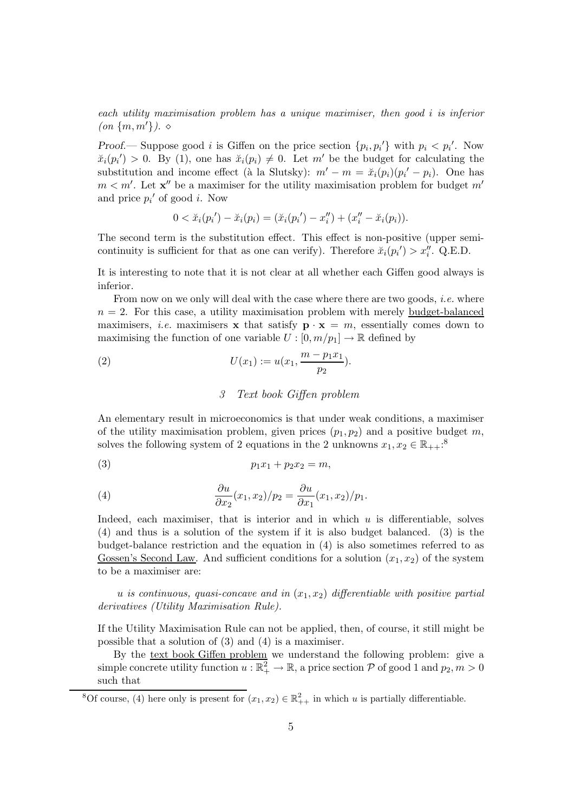each utility maximisation problem has a unique maximiser, then good i is inferior  $(an \{m, m'\})$ .  $\diamond$ 

Proof.— Suppose good *i* is Giffen on the price section  $\{p_i, p_i'\}$  with  $p_i < p_i'$ . Now  $\tilde{x}_i(p_i') > 0$ . By (1), one has  $\tilde{x}_i(p_i) \neq 0$ . Let m' be the budget for calculating the substitution and income effect (à la Slutsky):  $m' - m = \breve{x}_i(p_i)(p_i' - p_i)$ . One has  $m < m'$ . Let  $\mathbf{x}''$  be a maximiser for the utility maximisation problem for budget  $m'$ and price  $p_i'$  of good *i*. Now

$$
0 < \breve{x}_i(p_i') - \breve{x}_i(p_i) = (\breve{x}_i(p_i') - x_i'') + (x_i'' - \breve{x}_i(p_i)).
$$

The second term is the substitution effect. This effect is non-positive (upper semicontinuity is sufficient for that as one can verify). Therefore  $\ddot{x}_i(p_i') > x''_i$ . Q.E.D.

It is interesting to note that it is not clear at all whether each Giffen good always is inferior.

From now on we only will deal with the case where there are two goods, *i.e.* where  $n = 2$ . For this case, a utility maximisation problem with merely budget-balanced maximisers, *i.e.* maximisers **x** that satisfy  $\mathbf{p} \cdot \mathbf{x} = m$ , essentially comes down to maximising the function of one variable  $U : [0, m/p_1] \to \mathbb{R}$  defined by

(2) 
$$
U(x_1) := u(x_1, \frac{m - p_1 x_1}{p_2}).
$$

#### 3 Text book Giffen problem

An elementary result in microeconomics is that under weak conditions, a maximiser of the utility maximisation problem, given prices  $(p_1, p_2)$  and a positive budget m, solves the following system of 2 equations in the 2 unknowns  $x_1, x_2 \in \mathbb{R}_{++}$ :<sup>8</sup>

$$
(3) \t\t\t p_1x_1 + p_2x_2 = m,
$$

(4) 
$$
\frac{\partial u}{\partial x_2}(x_1, x_2)/p_2 = \frac{\partial u}{\partial x_1}(x_1, x_2)/p_1.
$$

Indeed, each maximiser, that is interior and in which  $u$  is differentiable, solves (4) and thus is a solution of the system if it is also budget balanced. (3) is the budget-balance restriction and the equation in (4) is also sometimes referred to as Gossen's Second Law. And sufficient conditions for a solution  $(x_1, x_2)$  of the system to be a maximiser are:

u is continuous, quasi-concave and in  $(x_1, x_2)$  differentiable with positive partial derivatives (Utility Maximisation Rule).

If the Utility Maximisation Rule can not be applied, then, of course, it still might be possible that a solution of (3) and (4) is a maximiser.

By the text book Giffen problem we understand the following problem: give a simple concrete utility function  $u : \mathbb{R}^2_+ \to \mathbb{R}$ , a price section  $P$  of good 1 and  $p_2, m > 0$ such that

<sup>&</sup>lt;sup>8</sup>Of course, (4) here only is present for  $(x_1, x_2) \in \mathbb{R}^2_{++}$  in which u is partially differentiable.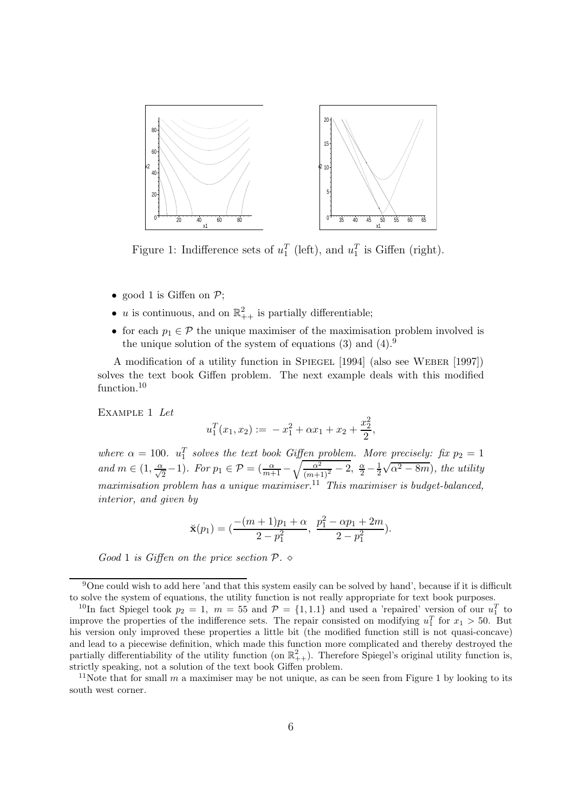

Figure 1: Indifference sets of  $u_1^T$  (left), and  $u_1^T$  is Giffen (right).

- good 1 is Giffen on  $P$ ;
- *u* is continuous, and on  $\mathbb{R}^2_{++}$  is partially differentiable;
- for each  $p_1 \in \mathcal{P}$  the unique maximiser of the maximisation problem involved is the unique solution of the system of equations  $(3)$  and  $(4)$ .<sup>9</sup>

A modification of a utility function in Spiegel [1994] (also see Weber [1997]) solves the text book Giffen problem. The next example deals with this modified function.<sup>10</sup>

EXAMPLE 1 Let

$$
u_1^T(x_1, x_2) := -x_1^2 + \alpha x_1 + x_2 + \frac{x_2^2}{2},
$$

where  $\alpha = 100$ .  $u_1^T$  solves the text book Giffen problem. More precisely: fix  $p_2 = 1$ and  $m \in (1, \frac{\alpha}{\sqrt{2}}-1)$ . For  $p_1 \in \mathcal{P} = (\frac{\alpha}{m+1} - \sqrt{\frac{\alpha^2}{(m+1)^2} - 2}, \frac{\alpha}{2} - \frac{1}{2})$ 2  $\sqrt{\alpha^2 - 8m}$ , the utility maximisation problem has a unique maximiser.<sup>11</sup> This maximiser is budget-balanced, interior, and given by

$$
\breve{\mathbf{x}}(p_1) = \left(\frac{-(m+1)p_1 + \alpha}{2 - p_1^2}, \ \frac{p_1^2 - \alpha p_1 + 2m}{2 - p_1^2}\right).
$$

Good 1 is Giffen on the price section  $P \sim$ 

<sup>9</sup>One could wish to add here 'and that this system easily can be solved by hand', because if it is difficult to solve the system of equations, the utility function is not really appropriate for text book purposes.

<sup>&</sup>lt;sup>10</sup>In fact Spiegel took  $p_2 = 1$ ,  $m = 55$  and  $\mathcal{P} = \{1, 1.1\}$  and used a 'repaired' version of our  $u_1^T$  to improve the properties of the indifference sets. The repair consisted on modifying  $u_1^T$  for  $x_1 > 50$ . But his version only improved these properties a little bit (the modified function still is not quasi-concave) and lead to a piecewise definition, which made this function more complicated and thereby destroyed the partially differentiability of the utility function (on  $\mathbb{R}^2_{++}$ ). Therefore Spiegel's original utility function is, strictly speaking, not a solution of the text book Giffen problem.

<sup>&</sup>lt;sup>11</sup>Note that for small m a maximiser may be not unique, as can be seen from Figure 1 by looking to its south west corner.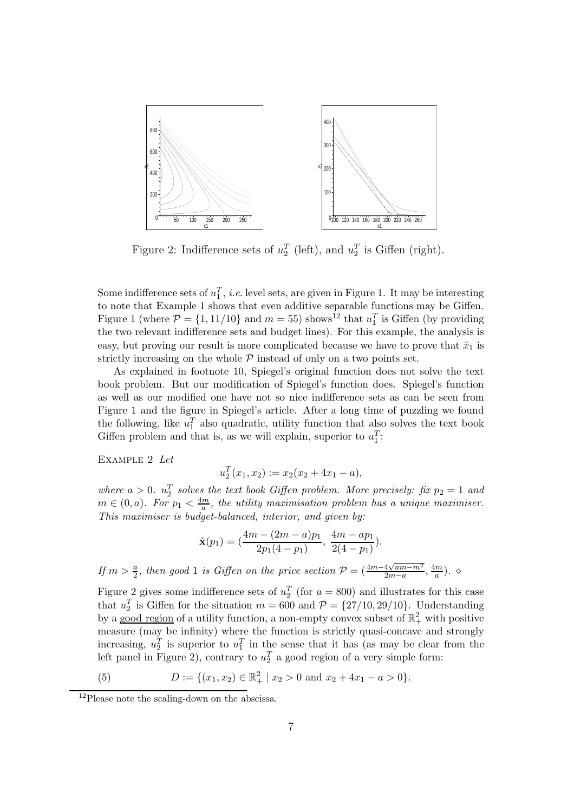

Figure 2: Indifference sets of  $u_2^T$  (left), and  $u_2^T$  is Giffen (right).

Some indifference sets of  $u_1^T$ , *i.e.* level sets, are given in Figure 1. It may be interesting to note that Example 1 shows that even additive separable functions may be Giffen. Figure 1 (where  $P = \{1, 11/10\}$  and  $m = 55$ ) shows<sup>12</sup> that  $u_1^T$  is Giffen (by providing the two relevant indifference sets and budget lines). For this example, the analysis is easy, but proving our result is more complicated because we have to prove that  $\ddot{x}_1$  is strictly increasing on the whole  $P$  instead of only on a two points set.

As explained in footnote 10, Spiegel's original function does not solve the text book problem. But our modification of Spiegel's function does. Spiegel's function as well as our modified one have not so nice indifference sets as can be seen from Figure 1 and the figure in Spiegel's article. After a long time of puzzling we found the following, like  $u_1^T$  also quadratic, utility function that also solves the text book Giffen problem and that is, as we will explain, superior to  $u_1^T$ :

EXAMPLE 2 Let

$$
u_2^T(x_1, x_2) := x_2(x_2 + 4x_1 - a),
$$

where  $a > 0$ .  $u_2^T$  solves the text book Giffen problem. More precisely: fix  $p_2 = 1$  and  $m \in (0, a)$ . For  $p_1 < \frac{4m}{a}$ , the utility maximisation problem has a unique maximiser. This maximiser is budget-balanced, interior, and given by:

$$
\tilde{\mathbf{x}}(p_1) = \left(\frac{4m - (2m - a)p_1}{2p_1(4 - p_1)}, \frac{4m - ap_1}{2(4 - p_1)}\right).
$$

If  $m > \frac{a}{2}$ , then good 1 is Giffen on the price section  $\mathcal{P} = (\frac{4m-4\sqrt{am-m^2}}{2m-a})$  $\frac{4\sqrt{am-m^2}}{2m-a}, \frac{4m}{a}$  $\frac{m}{a}$ ).  $\diamond$ 

Figure 2 gives some indifference sets of  $u_2^T$  (for  $a = 800$ ) and illustrates for this case that  $u_2^T$  is Giffen for the situation  $m = 600$  and  $\mathcal{P} = \{27/10, 29/10\}$ . Understanding by a good region of a utility function, a non-empty convex subset of  $\mathbb{R}^2_+$  with positive measure (may be infinity) where the function is strictly quasi-concave and strongly increasing,  $u_2^T$  is superior to  $u_1^T$  in the sense that it has (as may be clear from the left panel in Figure 2), contrary to  $u_2^T$  a good region of a very simple form:

(5) 
$$
D := \{(x_1, x_2) \in \mathbb{R}_+^2 \mid x_2 > 0 \text{ and } x_2 + 4x_1 - a > 0\}.
$$

<sup>&</sup>lt;sup>12</sup>Please note the scaling-down on the abscissa.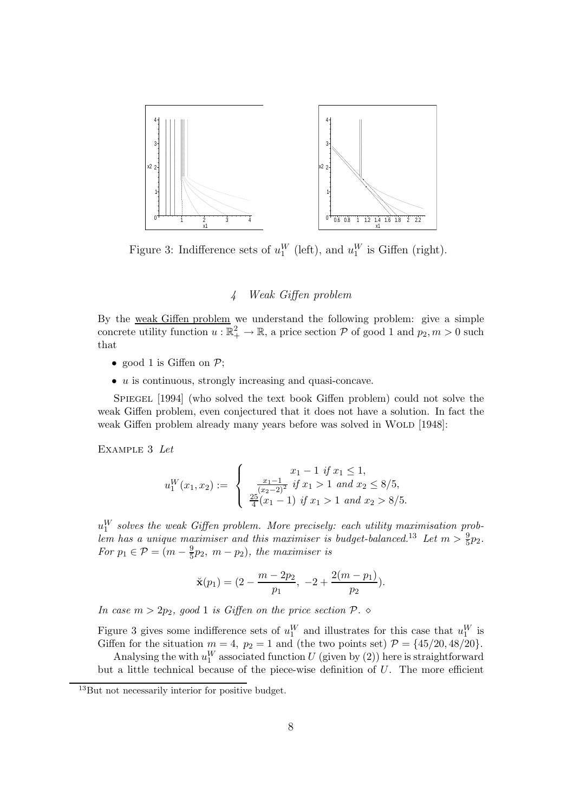

Figure 3: Indifference sets of  $u_1^W$  (left), and  $u_1^W$  is Giffen (right).

#### 4 Weak Giffen problem

By the weak Giffen problem we understand the following problem: give a simple concrete utility function  $u : \mathbb{R}^2_+ \to \mathbb{R}$ , a price section  $P$  of good 1 and  $p_2, m > 0$  such that

- good 1 is Giffen on  $P$ ;
- u is continuous, strongly increasing and quasi-concave.

Spiegel [1994] (who solved the text book Giffen problem) could not solve the weak Giffen problem, even conjectured that it does not have a solution. In fact the weak Giffen problem already many years before was solved in WOLD [1948]:

Example 3 Let

$$
u_1^W(x_1, x_2) := \begin{cases} x_1 - 1 & \text{if } x_1 \le 1, \\ \frac{x_1 - 1}{(x_2 - 2)^2} & \text{if } x_1 > 1 \text{ and } x_2 \le 8/5, \\ \frac{25}{4}(x_1 - 1) & \text{if } x_1 > 1 \text{ and } x_2 > 8/5. \end{cases}
$$

 $u_1^W$  solves the weak Giffen problem. More precisely: each utility maximisation problem has a unique maximiser and this maximiser is budget-balanced.<sup>13</sup> Let  $m > \frac{9}{5}p_2$ . For  $p_1 \in \mathcal{P} = (m - \frac{9}{5}p_2, m - p_2)$ , the maximiser is

$$
\breve{\mathbf{x}}(p_1) = (2 - \frac{m - 2p_2}{p_1}, -2 + \frac{2(m - p_1)}{p_2}).
$$

In case  $m > 2p_2$ , good 1 is Giffen on the price section  $P \sim$ 

Figure 3 gives some indifference sets of  $u_1^W$  and illustrates for this case that  $u_1^W$  is Giffen for the situation  $m = 4$ ,  $p_2 = 1$  and (the two points set)  $\mathcal{P} = \{45/20, 48/20\}.$ 

Analysing the with  $u_1^W$  associated function  $U$  (given by (2)) here is straightforward but a little technical because of the piece-wise definition of  $U$ . The more efficient

<sup>13</sup>But not necessarily interior for positive budget.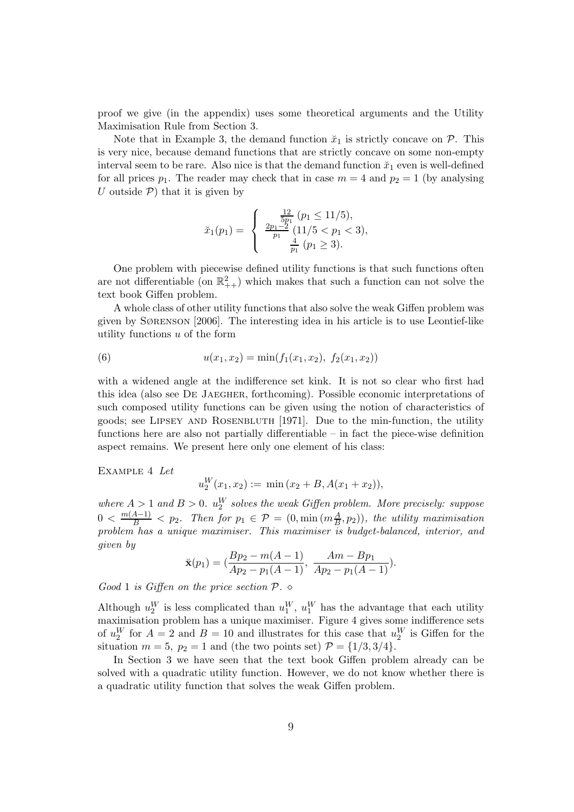proof we give (in the appendix) uses some theoretical arguments and the Utility Maximisation Rule from Section 3.

Note that in Example 3, the demand function  $\tilde{x}_1$  is strictly concave on  $\mathcal{P}$ . This is very nice, because demand functions that are strictly concave on some non-empty interval seem to be rare. Also nice is that the demand function  $\ddot{x}_1$  even is well-defined for all prices  $p_1$ . The reader may check that in case  $m = 4$  and  $p_2 = 1$  (by analysing U outside  $P$ ) that it is given by

$$
\check{x}_1(p_1) = \begin{cases}\n\frac{\frac{12}{5p_1}(p_1 \le 11/5),\\ \frac{2p_1-2}{p_1}(11/5 < p_1 < 3),\\ \frac{4}{p_1}(p_1 \ge 3).\n\end{cases}
$$

One problem with piecewise defined utility functions is that such functions often are not differentiable (on  $\mathbb{R}^2_{++}$ ) which makes that such a function can not solve the text book Giffen problem.

A whole class of other utility functions that also solve the weak Giffen problem was given by Sørenson [2006]. The interesting idea in his article is to use Leontief-like utility functions  $u$  of the form

(6) 
$$
u(x_1, x_2) = \min(f_1(x_1, x_2), f_2(x_1, x_2))
$$

with a widened angle at the indifference set kink. It is not so clear who first had this idea (also see De Jaegher, forthcoming). Possible economic interpretations of such composed utility functions can be given using the notion of characteristics of goods; see Lipsey and Rosenbluth [1971]. Due to the min-function, the utility functions here are also not partially differentiable – in fact the piece-wise definition aspect remains. We present here only one element of his class:

Example 4 Let

$$
u_2^W(x_1, x_2) := \min(x_2 + B, A(x_1 + x_2)),
$$

where  $A > 1$  and  $B > 0$ .  $u_2^W$  solves the weak Giffen problem. More precisely: suppose  $0 < \frac{m(A-1)}{B} < p_2$ . Then for  $p_1 \in \mathcal{P} = (0, \min(m_{\overline{B}}^A, p_2)),$  the utility maximisation problem has a unique maximiser. This maximiser is budget-balanced, interior, and given by

$$
\breve{\mathbf{x}}(p_1) = \left(\frac{Bp_2 - m(A-1)}{Ap_2 - p_1(A-1)}, \frac{Am - Bp_1}{Ap_2 - p_1(A-1)}\right).
$$

Good 1 is Giffen on the price section  $P \sim$ 

Although  $u_2^W$  is less complicated than  $u_1^W$ ,  $u_1^W$  has the advantage that each utility maximisation problem has a unique maximiser. Figure 4 gives some indifference sets of  $u_2^W$  for  $A = 2$  and  $B = 10$  and illustrates for this case that  $u_2^W$  is Giffen for the situation  $m = 5$ ,  $p_2 = 1$  and (the two points set)  $\mathcal{P} = \{1/3, 3/4\}.$ 

In Section 3 we have seen that the text book Giffen problem already can be solved with a quadratic utility function. However, we do not know whether there is a quadratic utility function that solves the weak Giffen problem.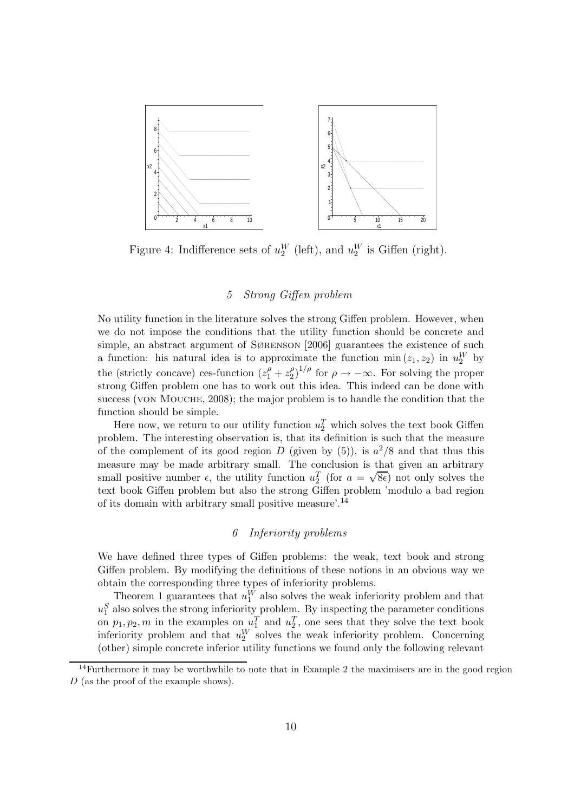

Figure 4: Indifference sets of  $u_2^W$  (left), and  $u_2^W$  is Giffen (right).

#### 5 Strong Giffen problem

No utility function in the literature solves the strong Giffen problem. However, when we do not impose the conditions that the utility function should be concrete and simple, an abstract argument of SØRENSON [2006] guarantees the existence of such a function: his natural idea is to approximate the function  $\min(z_1, z_2)$  in  $u_2^W$  by the (strictly concave) ces-function  $(z_1^{\rho} + z_2^{\rho})$  $\binom{\rho}{2}^{1/\rho}$  for  $\rho \to -\infty$ . For solving the proper strong Giffen problem one has to work out this idea. This indeed can be done with success (VON MOUCHE, 2008); the major problem is to handle the condition that the function should be simple.

Here now, we return to our utility function  $u_2^T$  which solves the text book Giffen problem. The interesting observation is, that its definition is such that the measure of the complement of its good region D (given by  $(5)$ ), is  $a^2/8$  and that thus this measure may be made arbitrary small. The conclusion is that given an arbitrary small positive number  $\epsilon$ , the utility function  $u_2^T$  (for  $a = \sqrt{8\epsilon}$ ) not only solves the text book Giffen problem but also the strong Giffen problem 'modulo a bad region of its domain with arbitrary small positive measure'.<sup>14</sup>

#### 6 Inferiority problems

We have defined three types of Giffen problems: the weak, text book and strong Giffen problem. By modifying the definitions of these notions in an obvious way we obtain the corresponding three types of inferiority problems.

Theorem 1 guarantees that  $u_1^W$  also solves the weak inferiority problem and that  $u_1^S$  also solves the strong inferiority problem. By inspecting the parameter conditions on  $p_1, p_2, m$  in the examples on  $u_1^T$  and  $u_2^T$ , one sees that they solve the text book inferiority problem and that  $u_2^W$  solves the weak inferiority problem. Concerning (other) simple concrete inferior utility functions we found only the following relevant

 $14$ Furthermore it may be worthwhile to note that in Example 2 the maximisers are in the good region D (as the proof of the example shows).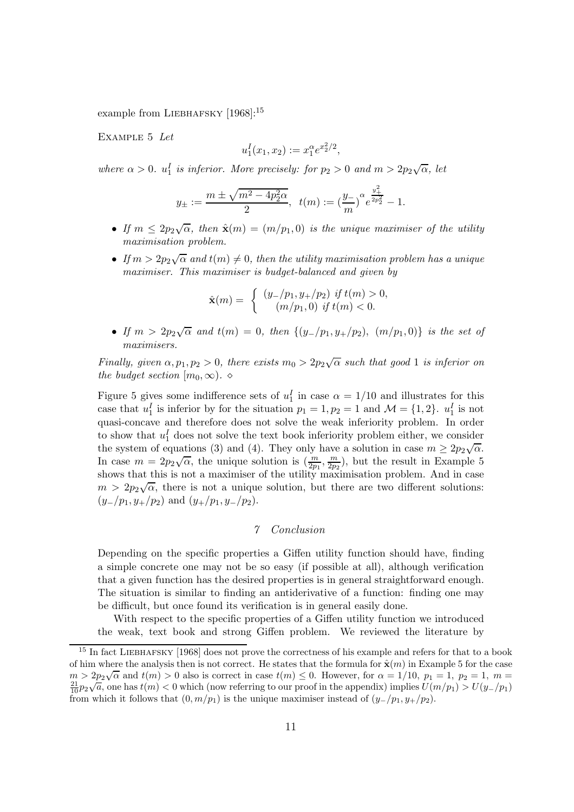example from LIEBHAFSKY [1968]:<sup>15</sup>

Example 5 Let

$$
u_1^I(x_1, x_2) := x_1^{\alpha} e^{x_2^2/2},
$$

where  $\alpha > 0$ .  $u_1^I$  is inferior. More precisely: for  $p_2 > 0$  and  $m > 2p_2\sqrt{\alpha}$ , let

$$
y_{\pm} := \frac{m \pm \sqrt{m^2 - 4p_2^2 \alpha}}{2}
$$
,  $t(m) := \left(\frac{y}{m}\right)^{\alpha} e^{\frac{y_+^2}{2p_2^2}} - 1$ .

- If  $m \leq 2p_2\sqrt{\alpha}$ , then  $\hat{\mathbf{x}}(m) = (m/p_1, 0)$  is the unique maximiser of the utility maximisation problem.
- If  $m > 2p_2\sqrt{\alpha}$  and  $t(m) \neq 0$ , then the utility maximisation problem has a unique maximiser. This maximiser is budget-balanced and given by

$$
\hat{\mathbf{x}}(m) = \begin{cases} (y_{-}/p_1, y_{+}/p_2) & \text{if } t(m) > 0, \\ (m/p_1, 0) & \text{if } t(m) < 0. \end{cases}
$$

• If  $m > 2p_2\sqrt{\alpha}$  and  $t(m) = 0$ , then  $\{(y_-/p_1, y_+/p_2), (m/p_1, 0)\}$  is the set of maximisers.

Finally, given  $\alpha, p_1, p_2 > 0$ , there exists  $m_0 > 2p_2\sqrt{\alpha}$  such that good 1 is inferior on the budget section  $[m_0, \infty)$ . ◇

Figure 5 gives some indifference sets of  $u_1^I$  in case  $\alpha = 1/10$  and illustrates for this case that  $u_1^I$  is inferior by for the situation  $p_1 = 1, p_2 = 1$  and  $\mathcal{M} = \{1, 2\}$ .  $u_1^I$  is not quasi-concave and therefore does not solve the weak inferiority problem. In order to show that  $u_1^I$  does not solve the text book inferiority problem either, we consider the system of equations (3) and (4). They only have a solution in case  $m \geq 2p_2\sqrt{\alpha}$ . In case  $m = 2p_2\sqrt{\alpha}$ , the unique solution is  $\left(\frac{m}{2p_1}, \frac{m}{2p_2}\right)$  $\frac{m}{2p_2}$ , but the result in Example 5 shows that this is not a maximiser of the utility maximisation problem. And in case  $m > 2p_2\sqrt{\alpha}$ , there is not a unique solution, but there are two different solutions:  $(y_{-}/p_1, y_{+}/p_2)$  and  $(y_{+}/p_1, y_{-}/p_2)$ .

#### 7 Conclusion

Depending on the specific properties a Giffen utility function should have, finding a simple concrete one may not be so easy (if possible at all), although verification that a given function has the desired properties is in general straightforward enough. The situation is similar to finding an antiderivative of a function: finding one may be difficult, but once found its verification is in general easily done.

With respect to the specific properties of a Giffen utility function we introduced the weak, text book and strong Giffen problem. We reviewed the literature by

<sup>&</sup>lt;sup>15</sup> In fact LIEBHAFSKY [1968] does not prove the correctness of his example and refers for that to a book of him where the analysis then is not correct. He states that the formula for  $\hat{\mathbf{x}}(m)$  in Example 5 for the case  $m > 2p_2\sqrt{\alpha}$  and  $t(m) > 0$  also is correct in case  $t(m) \leq 0$ . However, for  $\alpha = 1/10$ ,  $p_1 = 1$ ,  $p_2 = 1$ ,  $m = \frac{21}{10}p_2\sqrt{a}$ , one has  $t(m) < 0$  which (now referring to our proof in the appendix) implies  $U(m/p_1) > U(y_{-}/$ from which it follows that  $(0, m/p_1)$  is the unique maximiser instead of  $(y_2/p_1, y_2/p_2)$ .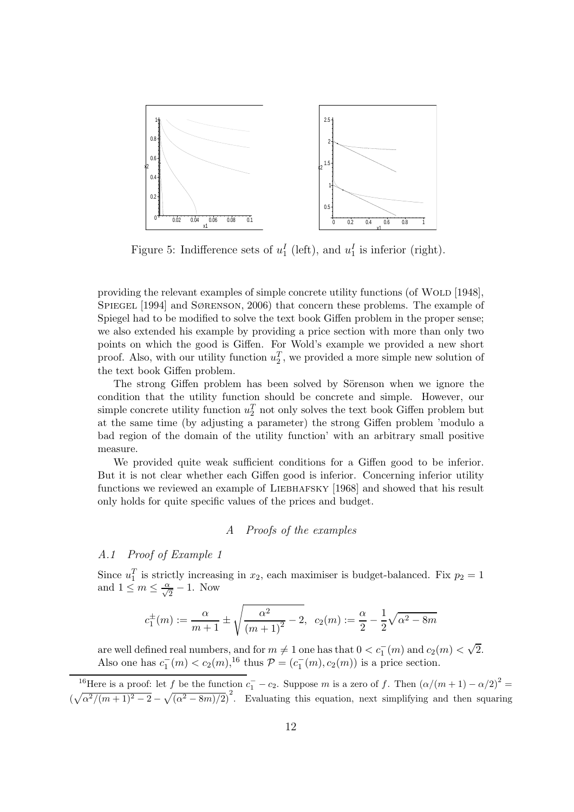

Figure 5: Indifference sets of  $u_1^I$  (left), and  $u_1^I$  is inferior (right).

providing the relevant examples of simple concrete utility functions (of WOLD [1948], Spiegel [1994] and Sørenson, 2006) that concern these problems. The example of Spiegel had to be modified to solve the text book Giffen problem in the proper sense; we also extended his example by providing a price section with more than only two points on which the good is Giffen. For Wold's example we provided a new short proof. Also, with our utility function  $u_2^T$ , we provided a more simple new solution of the text book Giffen problem.

The strong Giffen problem has been solved by Sörenson when we ignore the condition that the utility function should be concrete and simple. However, our simple concrete utility function  $u_2^T$  not only solves the text book Giffen problem but at the same time (by adjusting a parameter) the strong Giffen problem 'modulo a bad region of the domain of the utility function' with an arbitrary small positive measure.

We provided quite weak sufficient conditions for a Giffen good to be inferior. But it is not clear whether each Giffen good is inferior. Concerning inferior utility functions we reviewed an example of LIEBHAFSKY [1968] and showed that his result only holds for quite specific values of the prices and budget.

#### A Proofs of the examples

#### A.1 Proof of Example 1

Since  $u_1^T$  is strictly increasing in  $x_2$ , each maximiser is budget-balanced. Fix  $p_2 = 1$ and  $1 \leq m \leq \frac{\alpha}{\sqrt{2}} - 1$ . Now

$$
c_1^{\pm}(m) := \frac{\alpha}{m+1} \pm \sqrt{\frac{\alpha^2}{(m+1)^2} - 2}, \ c_2(m) := \frac{\alpha}{2} - \frac{1}{2}\sqrt{\alpha^2 - 8m}
$$

are well defined real numbers, and for  $m \neq 1$  one has that  $0 < c_1^-(m)$  and  $c_2(m) < \sqrt{2}$ . Also one has  $c_1^-(m) < c_2(m)$ ,<sup>16</sup> thus  $P = (c_1^-(m), c_2(m))$  is a price section.

<sup>&</sup>lt;sup>16</sup>Here is a proof: let f be the function  $c_1^- - c_2$ . Suppose m is a zero of f. Then  $(\alpha/(m+1) - \alpha/2)^2 =$  $(\sqrt{\alpha^2/(m+1)^2-2}-\sqrt{(\alpha^2-8m)/2})^2$ . Evaluating this equation, next simplifying and then squaring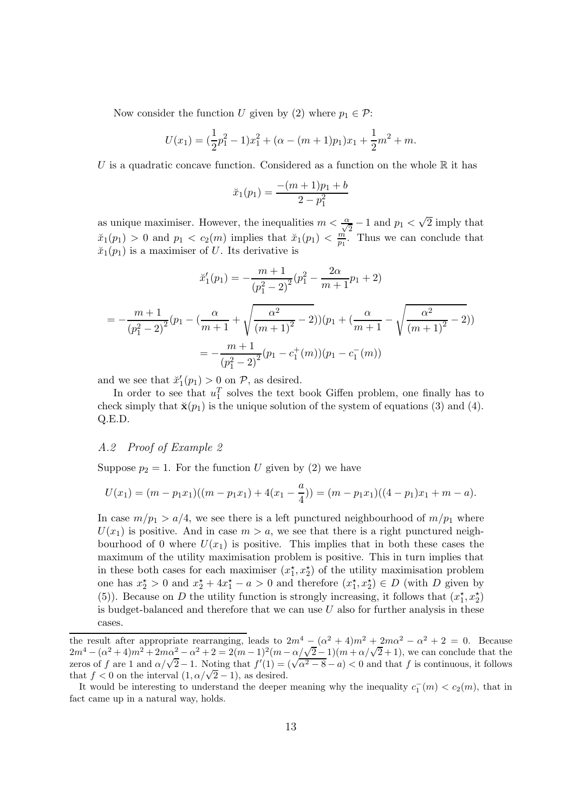Now consider the function U given by (2) where  $p_1 \in \mathcal{P}$ :

$$
U(x_1) = \left(\frac{1}{2}p_1^2 - 1\right)x_1^2 + \left(\alpha - (m+1)p_1\right)x_1 + \frac{1}{2}m^2 + m.
$$

U is a quadratic concave function. Considered as a function on the whole  $\mathbb R$  it has

$$
\breve{x}_1(p_1) = \frac{-(m+1)p_1 + b}{2 - p_1^2}
$$

as unique maximiser. However, the inequalities  $m < \frac{\alpha}{\sqrt{2}} - 1$  and  $p_1 < \sqrt{2}$  imply that  $\tilde{x}_1(p_1) > 0$  and  $p_1 < c_2(m)$  implies that  $\tilde{x}_1(p_1) < \frac{m}{p_1}$  $\frac{m}{p_1}$ . Thus we can conclude that  $\check{x}_1(p_1)$  is a maximiser of U. Its derivative is

$$
\check{x}'_1(p_1) = -\frac{m+1}{(p_1^2 - 2)^2} (p_1^2 - \frac{2\alpha}{m+1} p_1 + 2)
$$
  
=  $-\frac{m+1}{(p_1^2 - 2)^2} (p_1 - (\frac{\alpha}{m+1} + \sqrt{\frac{\alpha^2}{(m+1)^2} - 2})) (p_1 + (\frac{\alpha}{m+1} - \sqrt{\frac{\alpha^2}{(m+1)^2} - 2}))$   
=  $-\frac{m+1}{(p_1^2 - 2)^2} (p_1 - c_1^+(m))(p_1 - c_1^-(m))$ 

and we see that  $\ddot{x}'_1(p_1) > 0$  on  $P$ , as desired.

In order to see that  $u_1^T$  solves the text book Giffen problem, one finally has to check simply that  $\check{\mathbf{x}}(p_1)$  is the unique solution of the system of equations (3) and (4). Q.E.D.

#### A.2 Proof of Example 2

Suppose  $p_2 = 1$ . For the function U given by (2) we have

$$
U(x_1) = (m - p_1x_1)((m - p_1x_1) + 4(x_1 - \frac{a}{4})) = (m - p_1x_1)((4 - p_1)x_1 + m - a).
$$

In case  $m/p_1 > a/4$ , we see there is a left punctured neighbourhood of  $m/p_1$  where  $U(x_1)$  is positive. And in case  $m > a$ , we see that there is a right punctured neighbourhood of 0 where  $U(x_1)$  is positive. This implies that in both these cases the maximum of the utility maximisation problem is positive. This in turn implies that in these both cases for each maximiser  $(x_1^*, x_2^*)$  of the utility maximisation problem one has  $x_2^* > 0$  and  $x_2^* + 4x_1^* - a > 0$  and therefore  $(x_1^*, x_2^*) \in D$  (with D given by (5)). Because on D the utility function is strongly increasing, it follows that  $(x_1^*, x_2^*)$ is budget-balanced and therefore that we can use  $U$  also for further analysis in these cases.

the result after appropriate rearranging, leads to  $2m^4 - (\alpha^2 + 4)m^2 + 2m\alpha^2 - \alpha^2 + 2 = 0$ . Because 2m<sup>4</sup> – ( $\alpha^2 + 4$ )m<sup>2</sup> + 2m $\alpha^2 - \alpha^2 + 2 = 2(m-1)^2(m - \alpha/\sqrt{2}-1)(m + \alpha/\sqrt{2}+1)$ , we can conclude that the zeros of f are 1 and  $\alpha/\sqrt{2} - 1$ . Noting that  $f'(1) = (\sqrt{\alpha^2 - 8} - a) < 0$  and that f is continuous, it follows that  $f < 0$  on the interval  $(1, \alpha/\sqrt{2}-1)$ , as desired.

It would be interesting to understand the deeper meaning why the inequality  $c_1^-(m) < c_2(m)$ , that in fact came up in a natural way, holds.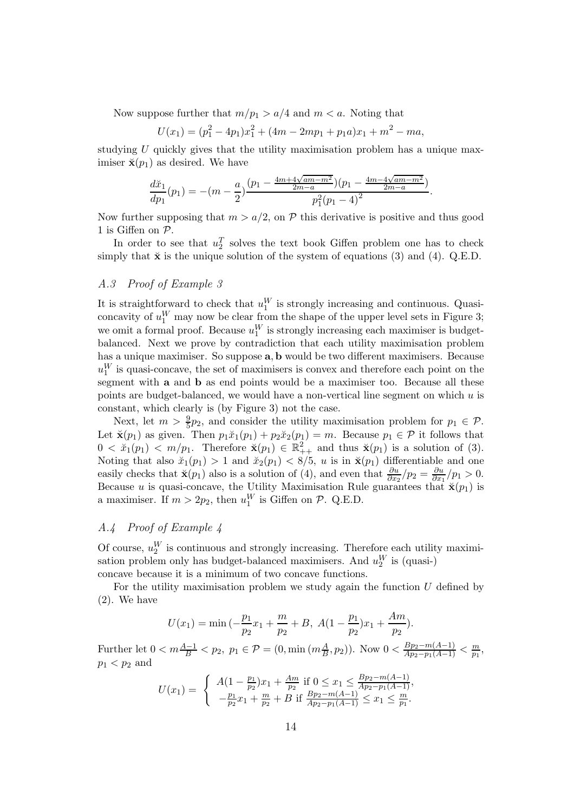Now suppose further that  $m/p_1 > a/4$  and  $m < a$ . Noting that

$$
U(x_1) = (p_1^2 - 4p_1)x_1^2 + (4m - 2mp_1 + p_1a)x_1 + m^2 - ma,
$$

studying U quickly gives that the utility maximisation problem has a unique maximiser  $\breve{\mathbf{x}}(p_1)$  as desired. We have

$$
\frac{d\breve{x}_1}{dp_1}(p_1) = -(m - \frac{a}{2}) \frac{(p_1 - \frac{4m + 4\sqrt{am - m^2}}{2m - a})(p_1 - \frac{4m - 4\sqrt{am - m^2}}{2m - a})}{p_1^2(p_1 - 4)^2}.
$$

Now further supposing that  $m > a/2$ , on P this derivative is positive and thus good 1 is Giffen on P.

In order to see that  $u_2^T$  solves the text book Giffen problem one has to check simply that  $\check{\mathbf{x}}$  is the unique solution of the system of equations (3) and (4). Q.E.D.

#### A.3 Proof of Example 3

It is straightforward to check that  $u_1^W$  is strongly increasing and continuous. Quasiconcavity of  $u_1^W$  may now be clear from the shape of the upper level sets in Figure 3; we omit a formal proof. Because  $u_1^W$  is strongly increasing each maximiser is budgetbalanced. Next we prove by contradiction that each utility maximisation problem has a unique maximiser. So suppose a, b would be two different maximisers. Because  $u_1^W$  is quasi-concave, the set of maximisers is convex and therefore each point on the segment with a and b as end points would be a maximiser too. Because all these points are budget-balanced, we would have a non-vertical line segment on which  $u$  is constant, which clearly is (by Figure 3) not the case.

Next, let  $m > \frac{9}{5}p_2$ , and consider the utility maximisation problem for  $p_1 \in \mathcal{P}$ . Let  $\check{\mathbf{x}}(p_1)$  as given. Then  $p_1\check{x}_1(p_1) + p_2\check{x}_2(p_1) = m$ . Because  $p_1 \in \mathcal{P}$  it follows that  $0 < \tilde{x}_1(p_1) < m/p_1$ . Therefore  $\tilde{\mathbf{x}}(p_1) \in \mathbb{R}^2_{++}$  and thus  $\tilde{\mathbf{x}}(p_1)$  is a solution of (3). Noting that also  $\breve{x}_1(p_1) > 1$  and  $\breve{x}_2(p_1) < 8/5$ , u is in  $\breve{x}(p_1)$  differentiable and one easily checks that  $\breve{\mathbf{x}}(p_1)$  also is a solution of (4), and even that  $\frac{\partial u}{\partial x_2}/p_2 = \frac{\partial u}{\partial x_1}$  $\frac{\partial u}{\partial x_1}/p_1 > 0.$ Because u is quasi-concave, the Utility Maximisation Rule guarantees that  $\check{\mathbf{x}}(p_1)$  is a maximiser. If  $m > 2p_2$ , then  $u_1^W$  is Giffen on  $P$ . Q.E.D.

#### A.4 Proof of Example 4

Of course,  $u_2^W$  is continuous and strongly increasing. Therefore each utility maximisation problem only has budget-balanced maximisers. And  $u_2^W$  is (quasi-) concave because it is a minimum of two concave functions.

For the utility maximisation problem we study again the function  $U$  defined by (2). We have

$$
U(x_1) = \min\left(-\frac{p_1}{p_2}x_1 + \frac{m}{p_2} + B, \ A(1 - \frac{p_1}{p_2})x_1 + \frac{Am}{p_2}\right).
$$

Further let  $0 < m \frac{A-1}{B} < p_2, p_1 \in \mathcal{P} = (0, \min(m\frac{A}{B}, p_2)).$  Now  $0 < \frac{Bp_2 - m(A-1)}{Ap_2 - p_1(A-1)} < \frac{m}{p_1}$  $\frac{m}{p_1},$  $p_1 < p_2$  and

$$
U(x_1) = \begin{cases} A(1 - \frac{p_1}{p_2})x_1 + \frac{Am}{p_2} & \text{if } 0 \le x_1 \le \frac{Bp_2 - m(A - 1)}{Ap_2 - p_1(A - 1)},\\ -\frac{p_1}{p_2}x_1 + \frac{m}{p_2} + B & \text{if } \frac{Bp_2 - m(A - 1)}{Ap_2 - p_1(A - 1)} \le x_1 \le \frac{m}{p_1}. \end{cases}
$$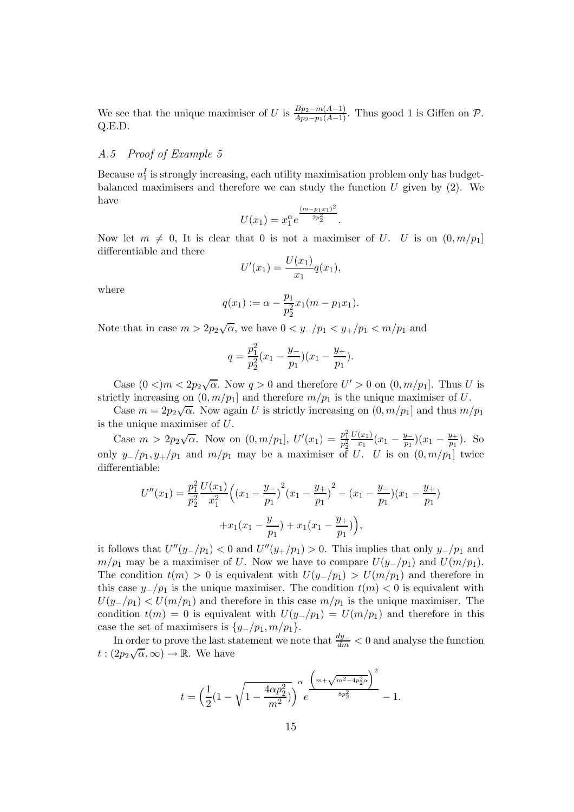We see that the unique maximiser of U is  $\frac{Bp_2 - m(A-1)}{Ap_2 - p_1(A-1)}$ . Thus good 1 is Giffen on P. Q.E.D.

#### A.5 Proof of Example 5

Because  $u_1^I$  is strongly increasing, each utility maximisation problem only has budgetbalanced maximisers and therefore we can study the function  $U$  given by  $(2)$ . We have

$$
U(x_1) = x_1^{\alpha} e^{\frac{(m-p_1x_1)^2}{2p_2^2}}.
$$

Now let  $m \neq 0$ , It is clear that 0 is not a maximiser of U. U is on  $(0, m/p_1]$ differentiable and there

$$
U'(x_1) = \frac{U(x_1)}{x_1}q(x_1),
$$

where

$$
q(x_1) := \alpha - \frac{p_1}{p_2^2} x_1(m - p_1 x_1).
$$

Note that in case  $m > 2p_2\sqrt{\alpha}$ , we have  $0 < y_-/p_1 < y_+/p_1 < m/p_1$  and

$$
q = \frac{p_1^2}{p_2^2}(x_1 - \frac{y_-}{p_1})(x_1 - \frac{y_+}{p_1}).
$$

Case  $(0 <)m < 2p_2\sqrt{\alpha}$ . Now  $q > 0$  and therefore  $U' > 0$  on  $(0, m/p_1]$ . Thus U is strictly increasing on  $(0, m/p_1]$  and therefore  $m/p_1$  is the unique maximiser of U.

Case  $m = 2p_2\sqrt{\alpha}$ . Now again U is strictly increasing on  $(0, m/p_1]$  and thus  $m/p_1$ is the unique maximiser of  $U$ .

Case  $m > 2p_2\sqrt{\alpha}$ . Now on  $(0, m/p_1]$ ,  $U'(x_1) = \frac{p_1^2}{p_2^2}$  $U(x_1)$  $\frac{(x_1)}{x_1}(x_1-\frac{y_-}{p_1})$  $\frac{y_+}{p_1}(x_1 - \frac{y_+}{p_1})$  $\frac{y_+}{p_1}$ ). So only  $y_-/p_1$ ,  $y_+/p_1$  and  $m/p_1$  may be a maximiser of U. U is on  $(0, m/p_1]$  twice differentiable:

$$
U''(x_1) = \frac{p_1^2}{p_2^2} \frac{U(x_1)}{x_1^2} \left( \left( x_1 - \frac{y_1}{p_1} \right)^2 \left( x_1 - \frac{y_1}{p_1} \right)^2 - \left( x_1 - \frac{y_1}{p_1} \right) \left( x_1 - \frac{y_1}{p_1} \right) + x_1 \left( x_1 - \frac{y_1}{p_1} \right) + x_1 \left( x_1 - \frac{y_1}{p_1} \right) \right),
$$

it follows that  $U''(y_-/p_1) < 0$  and  $U''(y_+/p_1) > 0$ . This implies that only  $y_-/p_1$  and  $m/p_1$  may be a maximiser of U. Now we have to compare  $U(y_{-}/p_1)$  and  $U(m/p_1)$ . The condition  $t(m) > 0$  is equivalent with  $U(y_{-}/p_1) > U(m/p_1)$  and therefore in this case  $y_{-}/p_1$  is the unique maximiser. The condition  $t(m) < 0$  is equivalent with  $U(y_{-}/p_1) < U(m/p_1)$  and therefore in this case  $m/p_1$  is the unique maximiser. The condition  $t(m) = 0$  is equivalent with  $U(y_{-}/p_1) = U(m/p_1)$  and therefore in this case the set of maximisers is  $\{y_2/p_1, m/p_1\}.$ 

In order to prove the last statement we note that  $\frac{dy_-\ }{dm} < 0$  and analyse the function  $t: (2p_2\sqrt{\alpha}, \infty) \to \mathbb{R}$ . We have

$$
t = \left(\frac{1}{2}(1 - \sqrt{1 - \frac{4\alpha p_2^2}{m^2})}\right)^{\alpha} e^{\frac{\left(m + \sqrt{m^2 - 4p_2^2\alpha}\right)^2}{8p_2^2}} - 1.
$$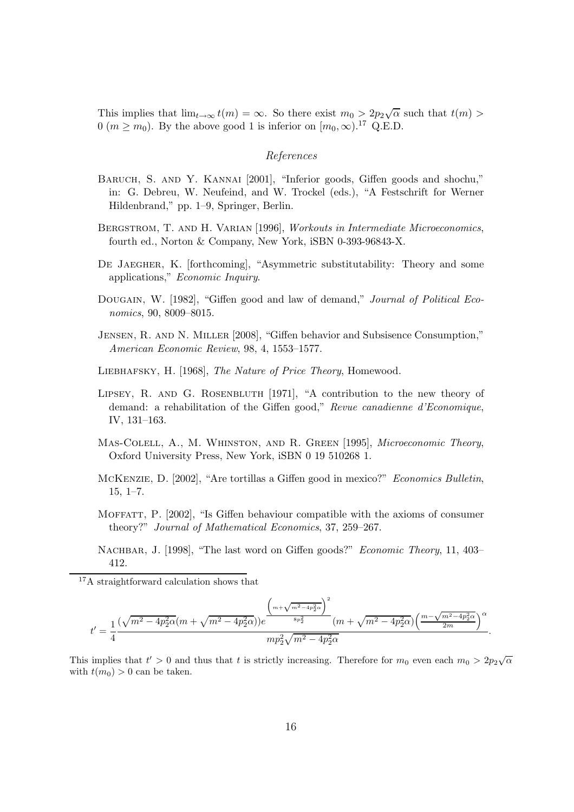This implies that  $\lim_{t\to\infty} t(m) = \infty$ . So there exist  $m_0 > 2p_2\sqrt{\alpha}$  such that  $t(m) >$  $0 \ (m \ge m_0)$ . By the above good 1 is inferior on  $[m_0, \infty)$ .<sup>17</sup> Q.E.D.

#### References

- Baruch, S. and Y. Kannai [2001], "Inferior goods, Giffen goods and shochu," in: G. Debreu, W. Neufeind, and W. Trockel (eds.), "A Festschrift for Werner Hildenbrand," pp. 1–9, Springer, Berlin.
- BERGSTROM, T. AND H. VARIAN [1996], Workouts in Intermediate Microeconomics, fourth ed., Norton & Company, New York, iSBN 0-393-96843-X.
- De Jaegher, K. [forthcoming], "Asymmetric substitutability: Theory and some applications," Economic Inquiry.
- DOUGAIN, W. [1982], "Giffen good and law of demand," Journal of Political Economics, 90, 8009–8015.
- Jensen, R. and N. Miller [2008], "Giffen behavior and Subsisence Consumption," American Economic Review, 98, 4, 1553–1577.
- Liebhafsky, H. [1968], The Nature of Price Theory, Homewood.
- LIPSEY, R. AND G. ROSENBLUTH [1971], "A contribution to the new theory of demand: a rehabilitation of the Giffen good," Revue canadienne d'Economique, IV, 131–163.
- Mas-Colell, A., M. Whinston, and R. Green [1995], Microeconomic Theory, Oxford University Press, New York, iSBN 0 19 510268 1.
- McKenzie, D. [2002], "Are tortillas a Giffen good in mexico?" Economics Bulletin, 15, 1–7.
- Moffatt, P. [2002], "Is Giffen behaviour compatible with the axioms of consumer theory?" Journal of Mathematical Economics, 37, 259–267.

<sup>17</sup>A straightforward calculation shows that

$$
t' = \frac{1}{4} \frac{(\sqrt{m^2 - 4p_2^2 \alpha} (m + \sqrt{m^2 - 4p_2^2 \alpha})) e^{\frac{\left(m + \sqrt{m^2 - 4p_2^2 \alpha}\right)^2}{8p_2^2}}}{mp_2^2 \sqrt{m^2 - 4p_2^2 \alpha}}}{mp_2^2 \sqrt{m^2 - 4p_2^2 \alpha}} \left(\frac{m - \sqrt{m^2 - 4p_2^2 \alpha}}{2m}\right)^{\alpha}.
$$

This implies that  $t' > 0$  and thus that t is strictly increasing. Therefore for  $m_0$  even each  $m_0 > 2p_2\sqrt{\alpha}$ with  $t(m_0) > 0$  can be taken.

NACHBAR, J. [1998], "The last word on Giffen goods?" Economic Theory, 11, 403– 412.